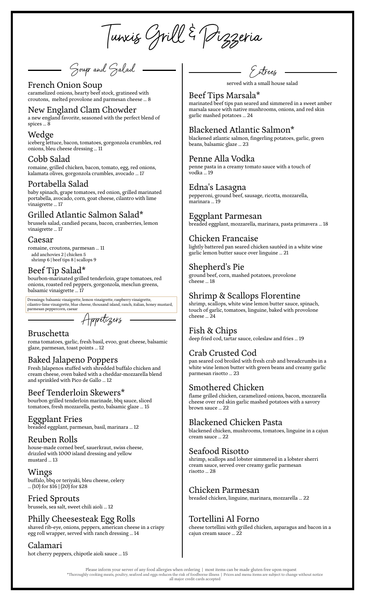Tunxis Grill & Pizzeria

<del>-</del> Soup and Galad

# French Onion Soup

caramelized onions, hearty beef stock, gratineed with croutons, melted provolone and parmesan cheese … 8

### New England Clam Chowder

a new england favorite, seasoned with the perfect blend of spices … 8

#### Wedge

iceberg lettuce, bacon, tomatoes, gorgonzola crumbles, red onions, bleu cheese dressing … 11

#### Cobb Salad

romaine, grilled chicken, bacon, tomato, egg, red onions, kalamata olives, gorgonzola crumbles, avocado … 17

### Portabella Salad

baby spinach, grape tomatoes, red onion, grilled marinated portabella, avocado, corn, goat cheese, cilantro with lime vinaigrette … 17

### Grilled Atlantic Salmon Salad\*

brussels salad, candied pecans, bacon, cranberries, lemon vinaigrette … 17

#### Caesar

romaine, croutons, parmesan … 11 add anchovies 2 | chicken 5 shrimp 6 | beef tips 8 | scallops 9

### Beef Tip Salad\*

bourbon-marinated grilled tenderloin, grape tomatoes, red onions, roasted red peppers, gorgonzola, mesclun greens, balsamic vinaigrette … 17

Dressings: balsamic vinaigrette, lemon vinaigrette, raspberry vinaigrette, cilantro-lime vinaigrette, blue cheese, thousand island, ranch, italian, honey mustard, parmesan peppercorn, caesar

- Appetizers

### Bruschetta

roma tomatoes, garlic, fresh basil, evoo, goat cheese, balsamic glaze, parmesan, toast points … 12

### Baked Jalapeno Poppers

Fresh Jalapenos stuffed with shredded buffalo chicken and cream cheese, oven baked with a cheddar-mozzarella blend and sprinkled with Pico de Gallo … 12

### Beef Tenderloin Skewers\*

bourbon grilled tenderloin marinade, bbq sauce, sliced tomatoes, fresh mozzarella, pesto, balsamic glaze … 15

### Eggplant Fries

breaded eggplant, parmesan, basil, marinara … 12

### Reuben Rolls

house-made corned beef, sauerkraut, swiss cheese, drizzled with 1000 island dressing and yellow mustard … 13

Wings buffalo, bbq or teriyaki, bleu cheese, celery … (10) for \$16 | (20) for \$28

Fried Sprouts brussels, sea salt, sweet chili aioli … 12

# Philly Cheesesteak Egg Rolls

shaved rib-eye, onions, peppers, american cheese in a crispy egg roll wrapper, served with ranch dressing … 14

# Calamari

hot cherry peppers, chipotle aioli sauce … 15

– Entrees

served with a small house salad

# Beef Tips Marsala\*

marinated beef tips pan seared and simmered in a sweet amber marsala sauce with native mushrooms, onions, and red skin garlic mashed potatoes … 24

# Blackened Atlantic Salmon\*

blackened atlantic salmon, fingerling potatoes, garlic, green beans, balsamic glaze … 23

### Penne Alla Vodka

penne pasta in a creamy tomato sauce with a touch of vodka … 19

### Edna's Lasagna

pepperoni, ground beef, sausage, ricotta, mozzarella, marinara … 19

### Eggplant Parmesan

breaded eggplant, mozzarella, marinara, pasta primavera … 18

### Chicken Francaise

lightly battered pan seared chicken sautéed in a white wine garlic lemon butter sauce over linguine … 21

### Shepherd's Pie

ground beef, corn, mashed potatoes, provolone cheese … 18

# Shrimp & Scallops Florentine

shrimp, scallops, white wine lemon butter sauce, spinach, touch of garlic, tomatoes, linguine, baked with provolone cheese … 24

### Fish & Chips

deep fried cod, tartar sauce, coleslaw and fries … 19

# Crab Crusted Cod

pan seared cod broiled with fresh crab and breadcrumbs in a white wine lemon butter with green beans and creamy garlic parmesan risotto … 23

### Smothered Chicken

flame grilled chicken, caramelized onions, bacon, mozzarella cheese over red skin garlic mashed potatoes with a savory brown sauce … 22

# Blackened Chicken Pasta

blackened chicken, mushrooms, tomatoes, linguine in a cajun cream sauce … 22

### Seafood Risotto

shrimp, scallops and lobster simmered in a lobster sherri cream sauce, served over creamy garlic parmesan risotto … 28

### Chicken Parmesan

breaded chicken, linguine, marinara, mozzarella … 22

# Tortellini Al Forno

cheese tortellini with grilled chicken, asparagus and bacon in a cajun cream sauce … 22

Please inform your server of any food allergies when ordering | most items can be made gluten free upon request \*Thoroughly cooking meats, poultry, seafood and eggs reduces the risk of foodborne illness | Prices and menu items are subject to change without notice all major credit cards accepted